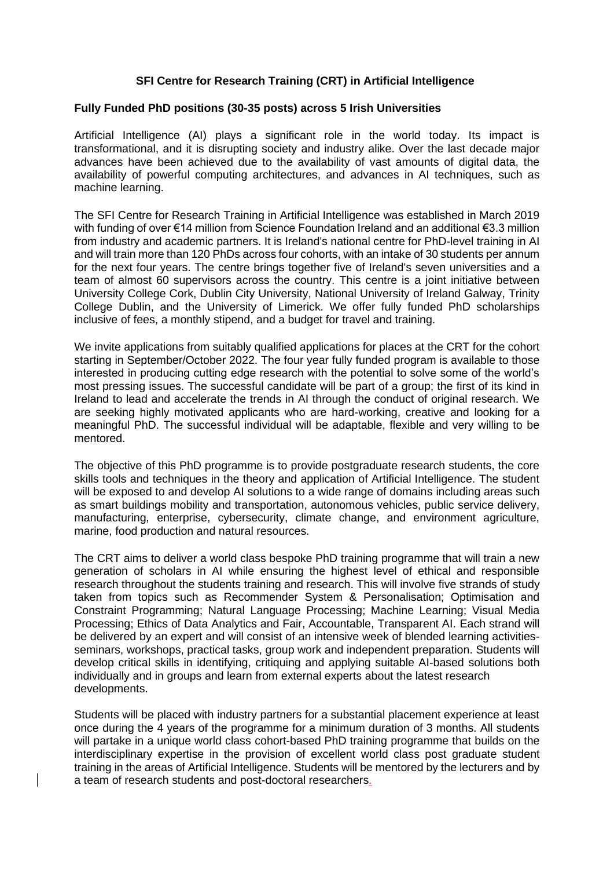## **SFI Centre for Research Training (CRT) in Artificial Intelligence**

## **Fully Funded PhD positions (30-35 posts) across 5 Irish Universities**

Artificial Intelligence (AI) plays a significant role in the world today. Its impact is transformational, and it is disrupting society and industry alike. Over the last decade major advances have been achieved due to the availability of vast amounts of digital data, the availability of powerful computing architectures, and advances in AI techniques, such as machine learning.

The SFI Centre for Research Training in Artificial Intelligence was established in March 2019 with funding of over €14 million from Science Foundation Ireland and an additional €3.3 million from industry and academic partners. It is Ireland's national centre for PhD-level training in AI and will train more than 120 PhDs across four cohorts, with an intake of 30 students per annum for the next four years. The centre brings together five of Ireland's seven universities and a team of almost 60 supervisors across the country. This centre is a joint initiative between University College Cork, Dublin City University, National University of Ireland Galway, Trinity College Dublin, and the University of Limerick. We offer fully funded PhD scholarships inclusive of fees, a monthly stipend, and a budget for travel and training.

We invite applications from suitably qualified applications for places at the CRT for the cohort starting in September/October 2022. The four year fully funded program is available to those interested in producing cutting edge research with the potential to solve some of the world's most pressing issues. The successful candidate will be part of a group; the first of its kind in Ireland to lead and accelerate the trends in AI through the conduct of original research. We are seeking highly motivated applicants who are hard-working, creative and looking for a meaningful PhD. The successful individual will be adaptable, flexible and very willing to be mentored.

The objective of this PhD programme is to provide postgraduate research students, the core skills tools and techniques in the theory and application of Artificial Intelligence. The student will be exposed to and develop AI solutions to a wide range of domains including areas such as smart buildings mobility and transportation, autonomous vehicles, public service delivery, manufacturing, enterprise, cybersecurity, climate change, and environment agriculture, marine, food production and natural resources.

The CRT aims to deliver a world class bespoke PhD training programme that will train a new generation of scholars in AI while ensuring the highest level of ethical and responsible research throughout the students training and research. This will involve five strands of study taken from topics such as Recommender System & Personalisation; Optimisation and Constraint Programming; Natural Language Processing; Machine Learning; Visual Media Processing; Ethics of Data Analytics and Fair, Accountable, Transparent AI. Each strand will be delivered by an expert and will consist of an intensive week of blended learning activitiesseminars, workshops, practical tasks, group work and independent preparation. Students will develop critical skills in identifying, critiquing and applying suitable AI-based solutions both individually and in groups and learn from external experts about the latest research developments.

Students will be placed with industry partners for a substantial placement experience at least once during the 4 years of the programme for a minimum duration of 3 months. All students will partake in a unique world class cohort-based PhD training programme that builds on the interdisciplinary expertise in the provision of excellent world class post graduate student training in the areas of Artificial Intelligence. Students will be mentored by the lecturers and by a team of research students and post-doctoral researchers.